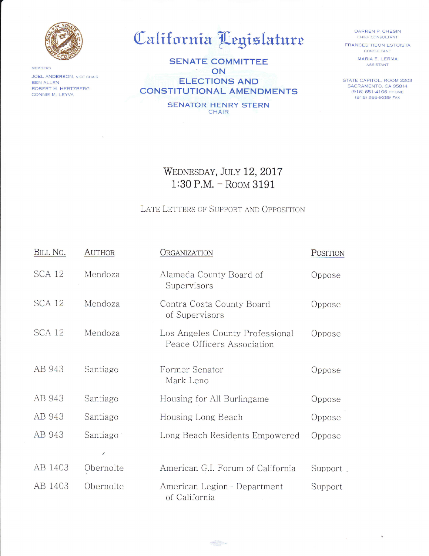

MEMBERS JOEL ANDERSON, VICE CHAIR **BEN ALLEN** ROBERT M. HERTZBERG CONNIE M. LEYVA

## California Legislature

**SENATE COMMITTEE** ON **ELECTIONS AND CONSTITUTIONAL AMENDMENTS** 

> **SENATOR HENRY STERN CHAIR**

DARREN P. CHESIN CHIEF CONSULTANT **FRANCES TIBON ESTOISTA** 

CONSULTANT MARIA E. LERMA ASSISTANT

STATE CAPITOL, ROOM 2203 SACRAMENTO, CA 95814 (916) 651-4106 PHONE (916) 266-9289 FAX

## WEDNESDAY, JULY 12, 2017 1:30 P.M. - ROOM 3191

## LATE LETTERS OF SUPPORT AND OPPOSITION

| BILL NO.      | <b>AUTHOR</b> | ORGANIZATION                                                  | POSITION |
|---------------|---------------|---------------------------------------------------------------|----------|
| <b>SCA 12</b> | Mendoza       | Alameda County Board of<br>Supervisors                        | Oppose   |
| <b>SCA 12</b> | Mendoza       | Contra Costa County Board<br>of Supervisors                   | Oppose   |
| <b>SCA 12</b> | Mendoza       | Los Angeles County Professional<br>Peace Officers Association | Oppose   |
| AB 943        | Santiago      | Former Senator<br>Mark Leno                                   | Oppose   |
| AB 943        | Santiago      | Housing for All Burlingame                                    | Oppose   |
| AB 943        | Santiago      | Housing Long Beach                                            | Oppose   |
| AB 943        | Santiago      | Long Beach Residents Empowered                                | Oppose   |
|               | ∕             |                                                               |          |
| AB 1403       | Obernolte     | American G.I. Forum of California                             | Support  |
| AB 1403       | Obernolte     | American Legion- Department<br>of California                  | Support  |

 $\bigoplus_{n=1}^{\infty}$  you